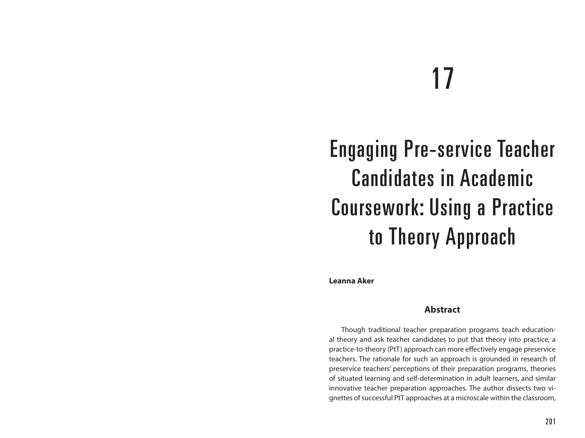# 17

# Engaging Pre-service Teacher Candidates in Academic Coursework: Using a Practice to Theory Approach

**Leanna Aker**

#### **Abstract**

Though traditional teacher preparation programs teach educational theory and ask teacher candidates to put that theory into practice, a practice-to-theory (PtT) approach can more effectively engage preservice teachers. The rationale for such an approach is grounded in research of preservice teachers' perceptions of their preparation programs, theories of situated learning and self-determination in adult learners, and similar innovative teacher preparation approaches. The author dissects two vignettes of successful PtT approaches at a microscale within the classroom,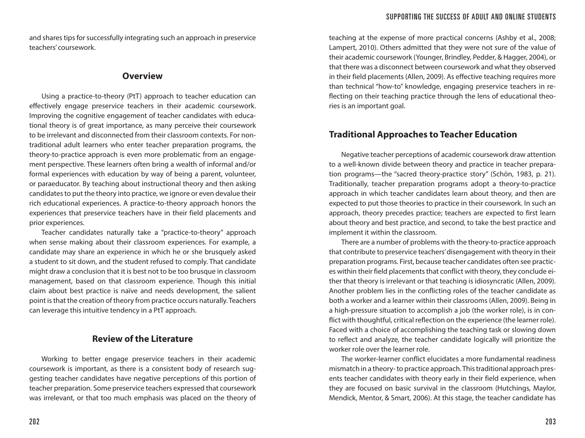and shares tips for successfully integrating such an approach in preservice teachers' coursework.

#### **Overview**

Using a practice-to-theory (PtT) approach to teacher education can effectively engage preservice teachers in their academic coursework. Improving the cognitive engagement of teacher candidates with educational theory is of great importance, as many perceive their coursework to be irrelevant and disconnected from their classroom contexts. For nontraditional adult learners who enter teacher preparation programs, the theory-to-practice approach is even more problematic from an engagement perspective. These learners often bring a wealth of informal and/or formal experiences with education by way of being a parent, volunteer, or paraeducator. By teaching about instructional theory and then asking candidates to put the theory into practice, we ignore or even devalue their rich educational experiences. A practice-to-theory approach honors the experiences that preservice teachers have in their field placements and prior experiences.

Teacher candidates naturally take a "practice-to-theory" approach when sense making about their classroom experiences. For example, a candidate may share an experience in which he or she brusquely asked a student to sit down, and the student refused to comply. That candidate might draw a conclusion that it is best not to be too brusque in classroom management, based on that classroom experience. Though this initial claim about best practice is naïve and needs development, the salient point is that the creation of theory from practice occurs naturally. Teachers can leverage this intuitive tendency in a PtT approach.

#### **Review of the Literature**

Working to better engage preservice teachers in their academic coursework is important, as there is a consistent body of research suggesting teacher candidates have negative perceptions of this portion of teacher preparation. Some preservice teachers expressed that coursework was irrelevant, or that too much emphasis was placed on the theory of

teaching at the expense of more practical concerns (Ashby et al., 2008; Lampert, 2010). Others admitted that they were not sure of the value of their academic coursework (Younger, Brindley, Pedder, & Hagger, 2004), or that there was a disconnect between coursework and what they observed in their field placements (Allen, 2009). As effective teaching requires more than technical "how-to" knowledge, engaging preservice teachers in reflecting on their teaching practice through the lens of educational theories is an important goal.

# **Traditional Approaches to Teacher Education**

Negative teacher perceptions of academic coursework draw attention to a well-known divide between theory and practice in teacher preparation programs—the "sacred theory-practice story" (Schön, 1983, p. 21). Traditionally, teacher preparation programs adopt a theory-to-practice approach in which teacher candidates learn about theory, and then are expected to put those theories to practice in their coursework. In such an approach, theory precedes practice; teachers are expected to first learn about theory and best practice, and second, to take the best practice and implement it within the classroom.

There are a number of problems with the theory-to-practice approach that contribute to preservice teachers' disengagement with theory in their preparation programs. First, because teacher candidates often see practices within their field placements that conflict with theory, they conclude either that theory is irrelevant or that teaching is idiosyncratic (Allen, 2009). Another problem lies in the conflicting roles of the teacher candidate as both a worker and a learner within their classrooms (Allen, 2009). Being in a high-pressure situation to accomplish a job (the worker role), is in conflict with thoughtful, critical reflection on the experience (the learner role). Faced with a choice of accomplishing the teaching task or slowing down to reflect and analyze, the teacher candidate logically will prioritize the worker role over the learner role.

The worker-learner conflict elucidates a more fundamental readiness mismatch in a theory- to practice approach. This traditional approach presents teacher candidates with theory early in their field experience, when they are focused on basic survival in the classroom (Hutchings, Maylor, Mendick, Mentor, & Smart, 2006). At this stage, the teacher candidate has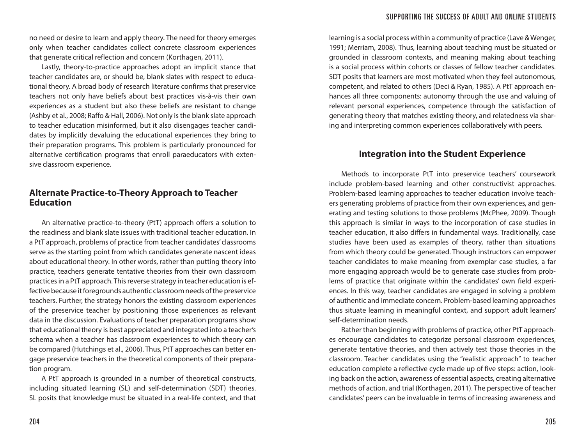no need or desire to learn and apply theory. The need for theory emerges only when teacher candidates collect concrete classroom experiences that generate critical reflection and concern (Korthagen, 2011).

Lastly, theory-to-practice approaches adopt an implicit stance that teacher candidates are, or should be, blank slates with respect to educational theory. A broad body of research literature confirms that preservice teachers not only have beliefs about best practices vis-à-vis their own experiences as a student but also these beliefs are resistant to change (Ashby et al., 2008; Raffo & Hall, 2006). Not only is the blank slate approach to teacher education misinformed, but it also disengages teacher candidates by implicitly devaluing the educational experiences they bring to their preparation programs. This problem is particularly pronounced for alternative certification programs that enroll paraeducators with extensive classroom experience.

#### **Alternate Practice-to-Theory Approach to Teacher Education**

An alternative practice-to-theory (PtT) approach offers a solution to the readiness and blank slate issues with traditional teacher education. In a PtT approach, problems of practice from teacher candidates' classrooms serve as the starting point from which candidates generate nascent ideas about educational theory. In other words, rather than putting theory into practice, teachers generate tentative theories from their own classroom practices in a PtT approach. This reverse strategy in teacher education is effective because it foregrounds authentic classroom needs of the preservice teachers. Further, the strategy honors the existing classroom experiences of the preservice teacher by positioning those experiences as relevant data in the discussion. Evaluations of teacher preparation programs show that educational theory is best appreciated and integrated into a teacher's schema when a teacher has classroom experiences to which theory can be compared (Hutchings et al., 2006). Thus, PtT approaches can better engage preservice teachers in the theoretical components of their preparation program.

A PtT approach is grounded in a number of theoretical constructs, including situated learning (SL) and self-determination (SDT) theories. SL posits that knowledge must be situated in a real-life context, and that

learning is a social process within a community of practice (Lave & Wenger, 1991; Merriam, 2008). Thus, learning about teaching must be situated or grounded in classroom contexts, and meaning making about teaching is a social process within cohorts or classes of fellow teacher candidates. SDT posits that learners are most motivated when they feel autonomous, competent, and related to others (Deci & Ryan, 1985). A PtT approach enhances all three components: autonomy through the use and valuing of relevant personal experiences, competence through the satisfaction of generating theory that matches existing theory, and relatedness via sharing and interpreting common experiences collaboratively with peers.

#### **Integration into the Student Experience**

Methods to incorporate PtT into preservice teachers' coursework include problem-based learning and other constructivist approaches. Problem-based learning approaches to teacher education involve teachers generating problems of practice from their own experiences, and generating and testing solutions to those problems (McPhee, 2009). Though this approach is similar in ways to the incorporation of case studies in teacher education, it also differs in fundamental ways. Traditionally, case studies have been used as examples of theory, rather than situations from which theory could be generated. Though instructors can empower teacher candidates to make meaning from exemplar case studies, a far more engaging approach would be to generate case studies from problems of practice that originate within the candidates' own field experiences. In this way, teacher candidates are engaged in solving a problem of authentic and immediate concern. Problem-based learning approaches thus situate learning in meaningful context, and support adult learners' self-determination needs.

Rather than beginning with problems of practice, other PtT approaches encourage candidates to categorize personal classroom experiences, generate tentative theories, and then actively test those theories in the classroom. Teacher candidates using the "realistic approach" to teacher education complete a reflective cycle made up of five steps: action, looking back on the action, awareness of essential aspects, creating alternative methods of action, and trial (Korthagen, 2011). The perspective of teacher candidates' peers can be invaluable in terms of increasing awareness and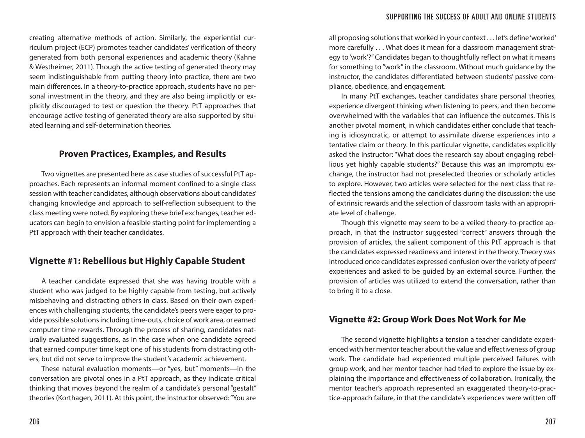creating alternative methods of action. Similarly, the experiential curriculum project (ECP) promotes teacher candidates' verification of theory generated from both personal experiences and academic theory (Kahne & Westheimer, 2011). Though the active testing of generated theory may seem indistinguishable from putting theory into practice, there are two main differences. In a theory-to-practice approach, students have no personal investment in the theory, and they are also being implicitly or explicitly discouraged to test or question the theory. PtT approaches that encourage active testing of generated theory are also supported by situated learning and self-determination theories.

#### **Proven Practices, Examples, and Results**

Two vignettes are presented here as case studies of successful PtT approaches. Each represents an informal moment confined to a single class session with teacher candidates, although observations about candidates' changing knowledge and approach to self-reflection subsequent to the class meeting were noted. By exploring these brief exchanges, teacher educators can begin to envision a feasible starting point for implementing a PtT approach with their teacher candidates.

#### **Vignette #1: Rebellious but Highly Capable Student**

A teacher candidate expressed that she was having trouble with a student who was judged to be highly capable from testing, but actively misbehaving and distracting others in class. Based on their own experiences with challenging students, the candidate's peers were eager to provide possible solutions including time-outs, choice of work area, or earned computer time rewards. Through the process of sharing, candidates naturally evaluated suggestions, as in the case when one candidate agreed that earned computer time kept one of his students from distracting others, but did not serve to improve the student's academic achievement.

These natural evaluation moments—or "yes, but" moments—in the conversation are pivotal ones in a PtT approach, as they indicate critical thinking that moves beyond the realm of a candidate's personal "gestalt" theories (Korthagen, 2011). At this point, the instructor observed: "You are

all proposing solutions that worked in your context . . . let's define 'worked' more carefully . . . What does it mean for a classroom management strategy to 'work'?" Candidates began to thoughtfully reflect on what it means for something to "work" in the classroom. Without much guidance by the instructor, the candidates differentiated between students' passive compliance, obedience, and engagement.

In many PtT exchanges, teacher candidates share personal theories, experience divergent thinking when listening to peers, and then become overwhelmed with the variables that can influence the outcomes. This is another pivotal moment, in which candidates either conclude that teaching is idiosyncratic, or attempt to assimilate diverse experiences into a tentative claim or theory. In this particular vignette, candidates explicitly asked the instructor: "What does the research say about engaging rebellious yet highly capable students?" Because this was an impromptu exchange, the instructor had not preselected theories or scholarly articles to explore. However, two articles were selected for the next class that reflected the tensions among the candidates during the discussion: the use of extrinsic rewards and the selection of classroom tasks with an appropriate level of challenge.

Though this vignette may seem to be a veiled theory-to-practice approach, in that the instructor suggested "correct" answers through the provision of articles, the salient component of this PtT approach is that the candidates expressed readiness and interest in the theory. Theory was introduced once candidates expressed confusion over the variety of peers' experiences and asked to be guided by an external source. Further, the provision of articles was utilized to extend the conversation, rather than to bring it to a close.

#### **Vignette #2: Group Work Does Not Work for Me**

The second vignette highlights a tension a teacher candidate experienced with her mentor teacher about the value and effectiveness of group work. The candidate had experienced multiple perceived failures with group work, and her mentor teacher had tried to explore the issue by explaining the importance and effectiveness of collaboration. Ironically, the mentor teacher's approach represented an exaggerated theory-to-practice-approach failure, in that the candidate's experiences were written off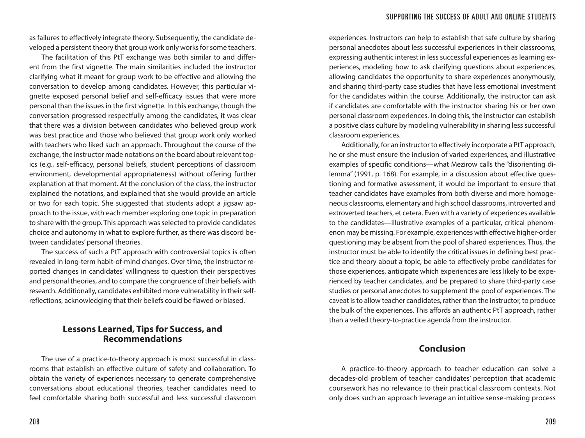as failures to effectively integrate theory. Subsequently, the candidate developed a persistent theory that group work only works for some teachers.

The facilitation of this PtT exchange was both similar to and different from the first vignette. The main similarities included the instructor clarifying what it meant for group work to be effective and allowing the conversation to develop among candidates. However, this particular vignette exposed personal belief and self-efficacy issues that were more personal than the issues in the first vignette. In this exchange, though the conversation progressed respectfully among the candidates, it was clear that there was a division between candidates who believed group work was best practice and those who believed that group work only worked with teachers who liked such an approach. Throughout the course of the exchange, the instructor made notations on the board about relevant topics (e.g., self-efficacy, personal beliefs, student perceptions of classroom environment, developmental appropriateness) without offering further explanation at that moment. At the conclusion of the class, the instructor explained the notations, and explained that she would provide an article or two for each topic. She suggested that students adopt a jigsaw approach to the issue, with each member exploring one topic in preparation to share with the group. This approach was selected to provide candidates choice and autonomy in what to explore further, as there was discord between candidates' personal theories.

The success of such a PtT approach with controversial topics is often revealed in long-term habit-of-mind changes. Over time, the instructor reported changes in candidates' willingness to question their perspectives and personal theories, and to compare the congruence of their beliefs with research. Additionally, candidates exhibited more vulnerability in their selfreflections, acknowledging that their beliefs could be flawed or biased.

#### **Lessons Learned, Tips for Success, and Recommendations**

The use of a practice-to-theory approach is most successful in classrooms that establish an effective culture of safety and collaboration. To obtain the variety of experiences necessary to generate comprehensive conversations about educational theories, teacher candidates need to feel comfortable sharing both successful and less successful classroom

experiences. Instructors can help to establish that safe culture by sharing personal anecdotes about less successful experiences in their classrooms, expressing authentic interest in less successful experiences as learning experiences, modeling how to ask clarifying questions about experiences, allowing candidates the opportunity to share experiences anonymously, and sharing third-party case studies that have less emotional investment for the candidates within the course. Additionally, the instructor can ask if candidates are comfortable with the instructor sharing his or her own personal classroom experiences. In doing this, the instructor can establish a positive class culture by modeling vulnerability in sharing less successful classroom experiences.

Additionally, for an instructor to effectively incorporate a PtT approach, he or she must ensure the inclusion of varied experiences, and illustrative examples of specific conditions—what Mezirow calls the "disorienting dilemma" (1991, p. 168). For example, in a discussion about effective questioning and formative assessment, it would be important to ensure that teacher candidates have examples from both diverse and more homogeneous classrooms, elementary and high school classrooms, introverted and extroverted teachers, et cetera. Even with a variety of experiences available to the candidates—illustrative examples of a particular, critical phenomenon may be missing. For example, experiences with effective higher-order questioning may be absent from the pool of shared experiences. Thus, the instructor must be able to identify the critical issues in defining best practice and theory about a topic, be able to effectively probe candidates for those experiences, anticipate which experiences are less likely to be experienced by teacher candidates, and be prepared to share third-party case studies or personal anecdotes to supplement the pool of experiences. The caveat is to allow teacher candidates, rather than the instructor, to produce the bulk of the experiences. This affords an authentic PtT approach, rather than a veiled theory-to-practice agenda from the instructor.

#### **Conclusion**

A practice-to-theory approach to teacher education can solve a decades-old problem of teacher candidates' perception that academic coursework has no relevance to their practical classroom contexts. Not only does such an approach leverage an intuitive sense-making process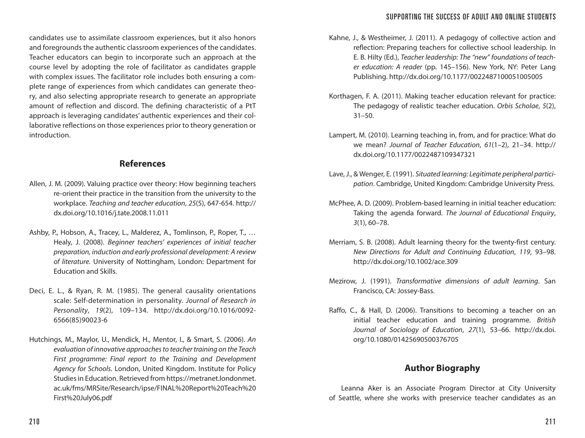candidates use to assimilate classroom experiences, but it also honors and foregrounds the authentic classroom experiences of the candidates. Teacher educators can begin to incorporate such an approach at the course level by adopting the role of facilitator as candidates grapple with complex issues. The facilitator role includes both ensuring a complete range of experiences from which candidates can generate theory, and also selecting appropriate research to generate an appropriate amount of reflection and discord. The defining characteristic of a PtT approach is leveraging candidates' authentic experiences and their collaborative reflections on those experiences prior to theory generation or introduction.

### **References**

- Allen, J. M. (2009). Valuing practice over theory: How beginning teachers re-orient their practice in the transition from the university to the workplace. *Teaching and teacher education*, *25*(5), 647-654. http:// dx.doi.org/10.1016/j.tate.2008.11.011
- Ashby, P., Hobson, A., Tracey, L., Malderez, A., Tomlinson, P., Roper, T., … Healy, J. (2008). *Beginner teachers' experiences of initial teacher preparation, induction and early professional development: A review of literature.* University of Nottingham, London: Department for Education and Skills.
- Deci, E. L., & Ryan, R. M. (1985). The general causality orientations scale: Self-determination in personality. *Journal of Research in Personality*, *19*(2), 109–134. http://dx.doi.org/10.1016/0092- 6566(85)90023-6
- Hutchings, M., Maylor, U., Mendick, H., Mentor, I., & Smart, S. (2006). *An evaluation of innovative approaches to teacher training on the Teach First programme: Final report to the Training and Development Agency for Schools*. London, United Kingdom. Institute for Policy Studies in Education. Retrieved from https://metranet.londonmet. ac.uk/fms/MRSite/Research/ipse/FINAL%20Report%20Teach%20 First%20July06.pdf
- Kahne, J., & Westheimer, J. (2011). A pedagogy of collective action and reflection: Preparing teachers for collective school leadership. In E. B. Hilty (Ed.), *Teacher leadership: The "new" foundations of teacher education: A reader* (pp. 145–156)*.* New York, NY: Peter Lang Publishing. http://dx.doi.org/10.1177/0022487100051005005
- Korthagen, F. A. (2011). Making teacher education relevant for practice: The pedagogy of realistic teacher education. *Orbis Scholae*, *5*(2),  $31 - 50$ .
- Lampert, M. (2010). Learning teaching in, from, and for practice: What do we mean? *Journal of Teacher Education*, *61*(1–2), 21–34. http:// dx.doi.org/10.1177/0022487109347321
- Lave, J., & Wenger, E. (1991). *Situated learning: Legitimate peripheral participation*. Cambridge, United Kingdom: Cambridge University Press.
- McPhee, A. D. (2009). Problem-based learning in initial teacher education: Taking the agenda forward. *The Journal of Educational Enquiry*, *3*(1), 60–78.
- Merriam, S. B. (2008). Adult learning theory for the twenty-first century. *New Directions for Adult and Continuing Education*, *119*, 93–98. http://dx.doi.org/10.1002/ace.309
- Mezirow, J. (1991). *Transformative dimensions of adult learning*. San Francisco, CA: Jossey-Bass.
- Raffo, C., & Hall, D. (2006). Transitions to becoming a teacher on an initial teacher education and training programme. *British Journal of Sociology of Education*, *27*(1), 53–66. http://dx.doi. org/10.1080/01425690500376705

# **Author Biography**

Leanna Aker is an Associate Program Director at City University of Seattle, where she works with preservice teacher candidates as an